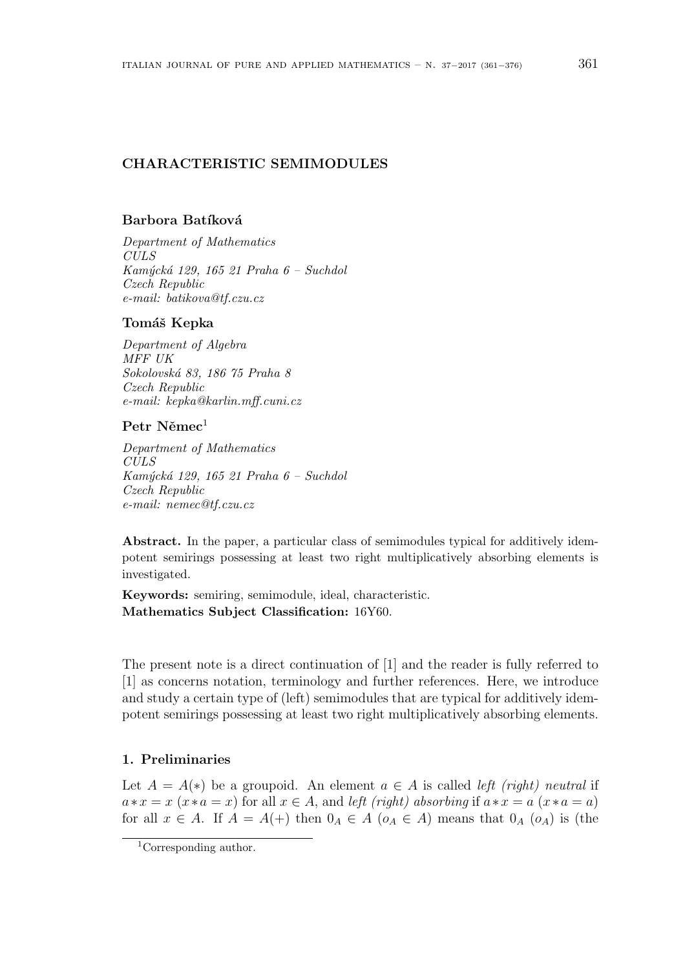# **CHARACTERISTIC SEMIMODULES**

# Barbora Batíková

*Department of Mathematics CULS Kam´yck´a 129, 165 21 Praha 6 – Suchdol Czech Republic e-mail: batikova@tf.czu.cz*

### **Tom´aˇs Kepka**

*Department of Algebra MFF UK Sokolovsk´a 83, 186 75 Praha 8 Czech Republic e-mail: kepka@karlin.mff.cuni.cz*

# Petr Němec<sup>1</sup>

*Department of Mathematics CULS Kam´yck´a 129, 165 21 Praha 6 – Suchdol Czech Republic e-mail: nemec@tf.czu.cz*

Abstract. In the paper, a particular class of semimodules typical for additively idempotent semirings possessing at least two right multiplicatively absorbing elements is investigated.

**Keywords:** semiring, semimodule, ideal, characteristic. **Mathematics Subject Classification:** 16Y60.

The present note is a direct continuation of [1] and the reader is fully referred to [1] as concerns notation, terminology and further references. Here, we introduce and study a certain type of (left) semimodules that are typical for additively idempotent semirings possessing at least two right multiplicatively absorbing elements.

#### **1. Preliminaries**

Let  $A = A(*)$  be a groupoid. An element  $a \in A$  is called *left (right) neutral* if  $a * x = x$  ( $x * a = x$ ) for all  $x \in A$ , and *left (right) absorbing* if  $a * x = a$  ( $x * a = a$ ) for all  $x \in A$ . If  $A = A(+)$  then  $0_A \in A$  ( $o_A \in A$ ) means that  $0_A$  ( $o_A$ ) is (the

<sup>1</sup>Corresponding author.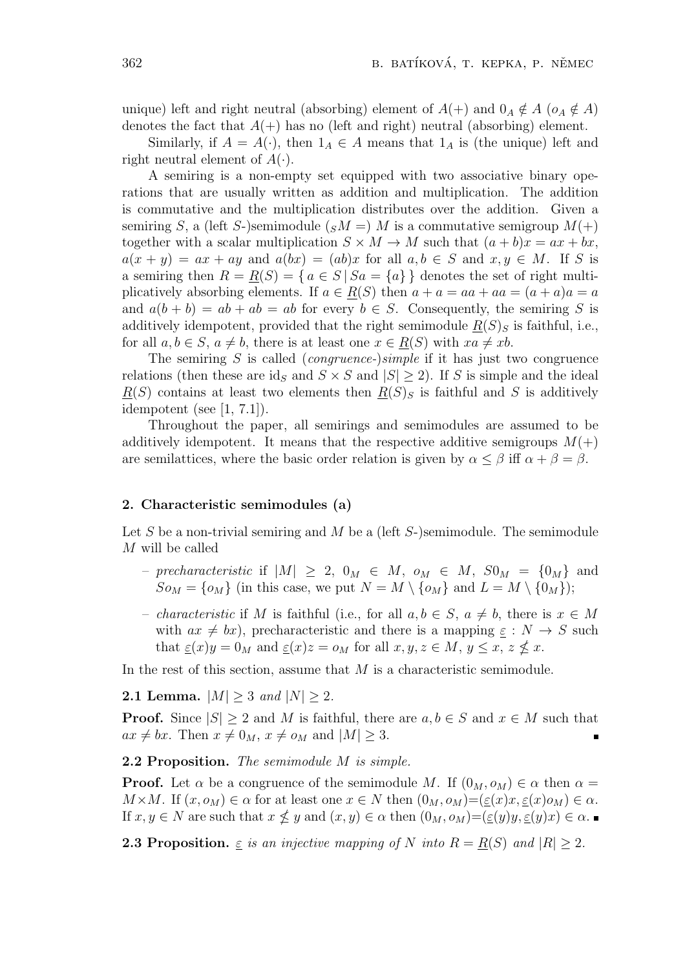unique) left and right neutral (absorbing) element of  $A(+)$  and  $0_A \notin A$  ( $o_A \notin A$ ) denotes the fact that  $A(+)$  has no (left and right) neutral (absorbing) element.

Similarly, if  $A = A(\cdot)$ , then  $1_A \in A$  means that  $1_A$  is (the unique) left and right neutral element of  $A(\cdot)$ .

A semiring is a non-empty set equipped with two associative binary operations that are usually written as addition and multiplication. The addition is commutative and the multiplication distributes over the addition. Given a semiring *S*, a (left *S*-)semimodule ( $sM = M$  is a commutative semigroup  $M(+)$ together with a scalar multiplication  $S \times M \to M$  such that  $(a + b)x = ax + bx$ ,  $a(x + y) = ax + ay$  and  $a(bx) = (ab)x$  for all  $a, b \in S$  and  $x, y \in M$ . If *S* is a semiring then  $R = R(S) = \{a \in S \mid Sa = \{a\}\}\$  denotes the set of right multiplicatively absorbing elements. If  $a \in R(S)$  then  $a + a = aa + aa = (a + a)a = a$ and  $a(b + b) = ab + ab = ab$  for every  $b \in S$ . Consequently, the semiring *S* is additively idempotent, provided that the right semimodule  $R(S)$ <sup>S</sup> is faithful, i.e., for all  $a, b \in S$ ,  $a \neq b$ , there is at least one  $x \in R(S)$  with  $xa \neq xb$ .

The semiring *S* is called (*congruence-*)*simple* if it has just two congruence relations (then these are id<sub>S</sub> and  $S \times S$  and  $|S| \ge 2$ ). If *S* is simple and the ideal  $R(S)$  contains at least two elements then  $R(S)$ <sub>*S*</sub> is faithful and *S* is additively idempotent (see  $[1, 7.1]$ ).

Throughout the paper, all semirings and semimodules are assumed to be additively idempotent. It means that the respective additive semigroups  $M(+)$ are semilattices, where the basic order relation is given by  $\alpha \leq \beta$  iff  $\alpha + \beta = \beta$ .

## **2. Characteristic semimodules (a)**

Let *S* be a non-trivial semiring and *M* be a (left *S*-)semimodule. The semimodule *M* will be called

- $-$  *precharacteristic* if  $|M|$  ≥ 2, 0 $_M$  ∈  $M$ ,  $o_M$  ∈  $M$ ,  $S0_M$  = {0 $_M$ } and  $S$ *oM* = {*o<sub><i>M*</sub>}</sub> (in this case, we put  $N = M \setminus \{o_M\}$  and  $L = M \setminus \{0_M\}$ );
- *characteristic* if *M* is faithful (i.e., for all  $a, b \in S$ ,  $a \neq b$ , there is  $x \in M$ with  $ax \neq bx$ , precharacteristic and there is a mapping  $\underline{\varepsilon}: N \to S$  such that  $\underline{\varepsilon}(x)y = 0_M$  and  $\underline{\varepsilon}(x)z = o_M$  for all  $x, y, z \in M$ ,  $y \le x, z \nle x$ .

In the rest of this section, assume that *M* is a characteristic semimodule.

**2.1 Lemma.**  $|M| \geq 3$  *and*  $|N| \geq 2$ *.* 

**Proof.** Since  $|S| \geq 2$  and *M* is faithful, there are  $a, b \in S$  and  $x \in M$  such that  $ax \neq bx$ . Then  $x \neq 0_M$ ,  $x \neq o_M$  and  $|M| \geq 3$ .

# **2.2 Proposition.** *The semimodule M is simple.*

**Proof.** Let  $\alpha$  be a congruence of the semimodule *M*. If  $(0_M, o_M) \in \alpha$  then  $\alpha =$  $M \times M$ . If  $(x, o_M) \in \alpha$  for at least one  $x \in N$  then  $(0_M, o_M) = (\underline{\varepsilon}(x)x, \underline{\varepsilon}(x)o_M) \in \alpha$ . If  $x, y \in N$  are such that  $x \nleq y$  and  $(x, y) \in \alpha$  then  $(0_M, o_M) = (\underline{\varepsilon}(y)y, \underline{\varepsilon}(y)x) \in \alpha$ .

**2.3 Proposition.**  $\varepsilon$  *is an injective mapping of N into*  $R = R(S)$  *and*  $|R| \geq 2$ *.*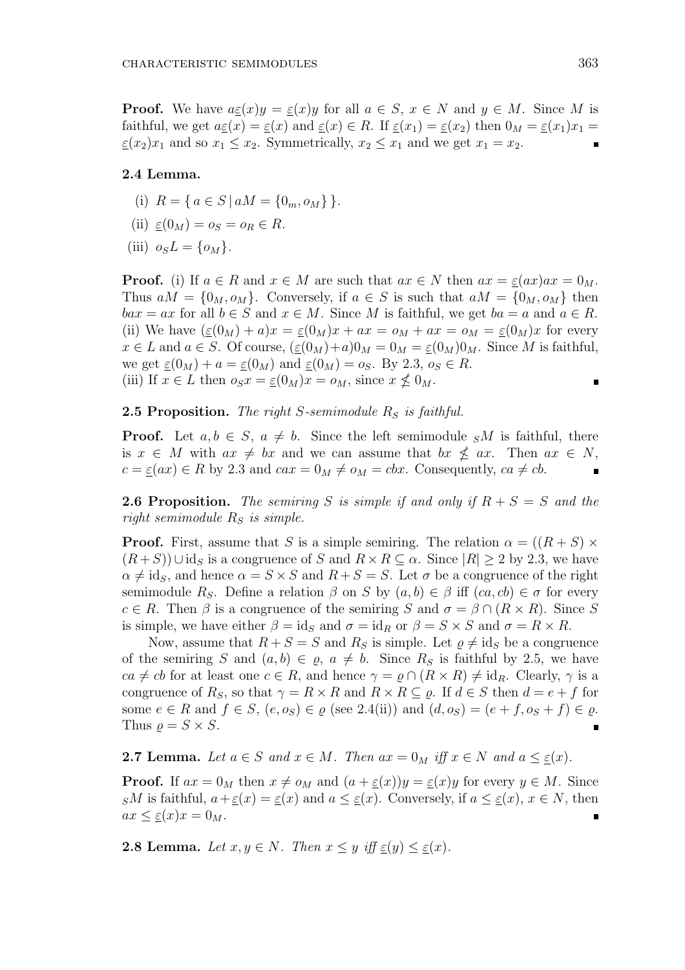**Proof.** We have  $a \underline{\varepsilon}(x) y = \underline{\varepsilon}(x) y$  for all  $a \in S$ ,  $x \in N$  and  $y \in M$ . Since M is faithful, we get  $a \underline{\varepsilon}(x) = \underline{\varepsilon}(x)$  and  $\underline{\varepsilon}(x) \in R$ . If  $\underline{\varepsilon}(x_1) = \underline{\varepsilon}(x_2)$  then  $0_M = \underline{\varepsilon}(x_1)x_1 =$  $\varepsilon$ (*x*<sub>2</sub>)*x*<sub>1</sub> and so  $x_1 \le x_2$ . Symmetrically,  $x_2 \le x_1$  and we get  $x_1 = x_2$ .

### **2.4 Lemma.**

- (i)  $R = \{ a \in S \mid aM = \{0_m, o_M\} \}.$
- (ii)  $\underline{\varepsilon}(0_M) = o_S = o_R \in R$ .
- (iii)  $o_S L = \{o_M\}$ .

**Proof.** (i) If  $a \in R$  and  $x \in M$  are such that  $ax \in N$  then  $ax = \underline{\varepsilon}(ax)ax = 0_M$ . Thus  $aM = \{0_M, o_M\}$ . Conversely, if  $a \in S$  is such that  $aM = \{0_M, o_M\}$  then  $bax = ax$  for all  $b \in S$  and  $x \in M$ . Since *M* is faithful, we get  $ba = a$  and  $a \in R$ . (ii) We have  $(\underline{\varepsilon}(0_M) + a)x = \underline{\varepsilon}(0_M)x + ax = o_M + ax = o_M = \underline{\varepsilon}(0_M)x$  for every  $x \in L$  and  $a \in S$ . Of course,  $(\underline{\varepsilon}(0_M)+a)0_M = 0_M = \underline{\varepsilon}(0_M)0_M$ . Since *M* is faithful, we get  $\underline{\varepsilon}(0_M) + a = \underline{\varepsilon}(0_M)$  and  $\underline{\varepsilon}(0_M) = o_S$ . By 2.3,  $o_S \in R$ . (iii) If  $x \in L$  then  $o_S x = \underline{\varepsilon}(0_M)x = o_M$ , since  $x \not\leq 0_M$ .

**2.5 Proposition.** *The right S-semimodule R<sup>S</sup> is faithful.*

**Proof.** Let  $a, b \in S$ ,  $a \neq b$ . Since the left semimodule  $sM$  is faithful, there is  $x \in M$  with  $ax \neq bx$  and we can assume that  $bx \nleq ax$ . Then  $ax \in N$ ,  $c = \underline{\varepsilon}(ax) \in R$  by 2.3 and  $cax = 0_M \neq o_M = cbx$ . Consequently,  $ca \neq cb$ .

**2.6 Proposition.** The semiring *S* is simple if and only if  $R + S = S$  and the *right semimodule R<sup>S</sup> is simple.*

**Proof.** First, assume that *S* is a simple semiring. The relation  $\alpha = ((R + S) \times$  $(R + S)$ )∪id<sub>S</sub> is a congruence of *S* and  $R \times R \subseteq \alpha$ . Since  $|R| \geq 2$  by 2.3, we have  $\alpha \neq id_S$ , and hence  $\alpha = S \times S$  and  $R + S = S$ . Let  $\sigma$  be a congruence of the right semimodule *R<sub>S</sub>*. Define a relation  $\beta$  on *S* by  $(a, b) \in \beta$  iff  $(ca, cb) \in \sigma$  for every  $c \in R$ . Then  $\beta$  is a congruence of the semiring *S* and  $\sigma = \beta \cap (R \times R)$ . Since *S* is simple, we have either  $\beta = id_S$  and  $\sigma = id_R$  or  $\beta = S \times S$  and  $\sigma = R \times R$ .

Now, assume that  $R + S = S$  and  $R_S$  is simple. Let  $\varrho \neq id_S$  be a congruence of the semiring *S* and  $(a, b) \in \varrho, a \neq b$ . Since  $R<sub>S</sub>$  is faithful by 2.5, we have  $ca \neq cb$  for at least one  $c \in R$ , and hence  $\gamma = \rho \cap (R \times R) \neq \text{id}_R$ . Clearly,  $\gamma$  is a congruence of  $R_S$ , so that  $\gamma = R \times R$  and  $R \times R \subseteq \varrho$ . If  $d \in S$  then  $d = e + f$  for some  $e \in R$  and  $f \in S$ ,  $(e, o_S) \in \varrho$  (see 2.4(ii)) and  $(d, o_S) = (e + f, o_S + f) \in \varrho$ . Thus  $\rho = S \times S$ .  $\blacksquare$ 

**2.7 Lemma.** Let  $a \in S$  and  $x \in M$ . Then  $ax = 0_M$  iff  $x \in N$  and  $a \leq \underline{\varepsilon}(x)$ .

**Proof.** If  $ax = 0_M$  then  $x \neq o_M$  and  $(a + \underline{\varepsilon}(x))y = \underline{\varepsilon}(x)y$  for every  $y \in M$ . Since *SM* is faithful,  $a + \underline{\varepsilon}(x) = \underline{\varepsilon}(x)$  and  $a \leq \underline{\varepsilon}(x)$ . Conversely, if  $a \leq \underline{\varepsilon}(x)$ ,  $x \in N$ , then  $ax \leq \underline{\varepsilon}(x)x = 0_M.$ 

**2.8 Lemma.** Let  $x, y \in N$ . Then  $x \leq y$  iff  $\varepsilon(y) \leq \varepsilon(x)$ .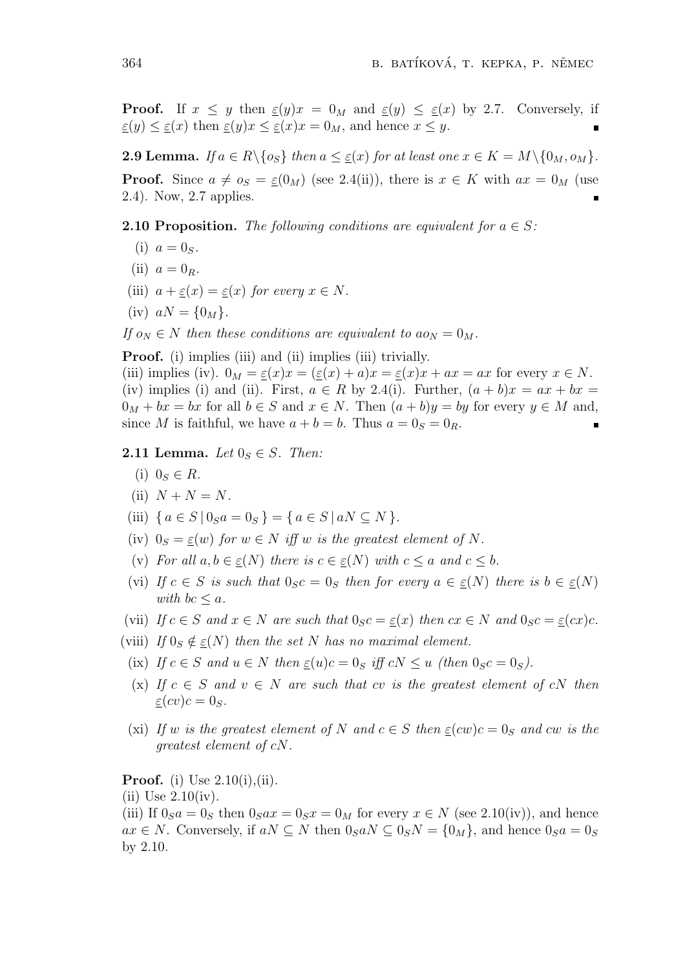**Proof.** If  $x \leq y$  then  $\underline{\varepsilon}(y)x = 0$ *M* and  $\underline{\varepsilon}(y) \leq \underline{\varepsilon}(x)$  by 2.7. Conversely, if  $\underline{\varepsilon}(y) \leq \underline{\varepsilon}(x)$  then  $\underline{\varepsilon}(y)x \leq \underline{\varepsilon}(x)x = 0_M$ , and hence  $x \leq y$ .

**2.9 Lemma.** If  $a \in R \setminus \{o_S\}$  then  $a \leq \underline{\varepsilon}(x)$  for at least one  $x \in K = M \setminus \{0_M, o_M\}$ . **Proof.** Since  $a \neq o_S = \underline{\varepsilon}(0_M)$  (see 2.4(ii)), there is  $x \in K$  with  $ax = 0_M$  (use 2.4). Now, 2.7 applies.

**2.10 Proposition.** The following conditions are equivalent for  $a \in S$ :

- (i)  $a = 0_S$ .
- (ii)  $a = 0_R$ *.*
- (iii)  $a + \underline{\varepsilon}(x) = \underline{\varepsilon}(x)$  *for every*  $x \in N$ *.*
- $(iv)$   $aN = \{0_M\}.$

*If*  $o_N \in N$  *then these conditions are equivalent to*  $ao_N = 0_M$ *.* 

**Proof.** (i) implies (iii) and (ii) implies (iii) trivially.

(iii) implies (iv).  $0_M = \underline{\varepsilon}(x)x = (\underline{\varepsilon}(x) + a)x = \underline{\varepsilon}(x)x + ax = ax$  for every  $x \in N$ . (iv) implies (i) and (ii). First,  $a \in R$  by 2.4(i). Further,  $(a + b)x = ax + bx$  $0_M + bx = bx$  for all  $b \in S$  and  $x \in N$ . Then  $(a + b)y = by$  for every  $y \in M$  and, since *M* is faithful, we have  $a + b = b$ . Thus  $a = 0<sub>S</sub> = 0<sub>R</sub>$ .

**2.11 Lemma.** *Let*  $0_S \in S$ *. Then:* 

- (i)  $0_s \in R$ *.*
- (ii)  $N + N = N$ *.*
- (iii)  ${ a \in S \mid 0_S a = 0_S } = { a \in S \mid aN \subseteq N }$ .
- (iv)  $0_S = \varepsilon(w)$  for  $w \in N$  *iff*  $w$  *is the greatest element of*  $N$ *.*
- (v) *For all*  $a, b \in \varepsilon(N)$  *there is*  $c \in \varepsilon(N)$  *with*  $c \leq a$  *and*  $c \leq b$ *.*
- (vi) If  $c \in S$  is such that  $0_S c = 0_S$  then for every  $a \in \underline{\varepsilon}(N)$  there is  $b \in \underline{\varepsilon}(N)$ *with*  $bc < a$ *.*
- (vii) If  $c \in S$  and  $x \in N$  are such that  $0_S c = \underline{\varepsilon}(x)$  then  $cx \in N$  and  $0_S c = \underline{\varepsilon}(cx)c$ .
- (viii) *If*  $0_S \notin \varepsilon(N)$  *then the set N has no maximal element.* 
	- (ix) *If*  $c \in S$  *and*  $u \in N$  *then*  $\varepsilon(u)c = 0_S$  *iff*  $cN \le u$  *(then*  $0_Sc = 0_S$ *).*
	- $(x)$  *If*  $c \in S$  *and*  $v \in N$  *are such that cv is the greatest element of cN then*  $\varepsilon$ (*cv*) $c = 0_S$ .
	- (xi) If *w* is the greatest element of N and  $c \in S$  then  $\varepsilon(cw)c = 0_S$  and  $cw$  is the *greatest element of cN.*

# **Proof.** (i) Use 2.10(i), (ii).

 $(ii)$  Use  $2.10(iv)$ .

(iii) If  $0_S a = 0_S$  then  $0_S a x = 0_S x = 0_M$  for every  $x \in N$  (see 2.10(iv)), and hence *ax* ∈ *N*. Conversely, if *aN*  $\subseteq$  *N* then  $0_S aN \subseteq 0_S N = \{0_M\}$ , and hence  $0_S a = 0_S$ by 2.10.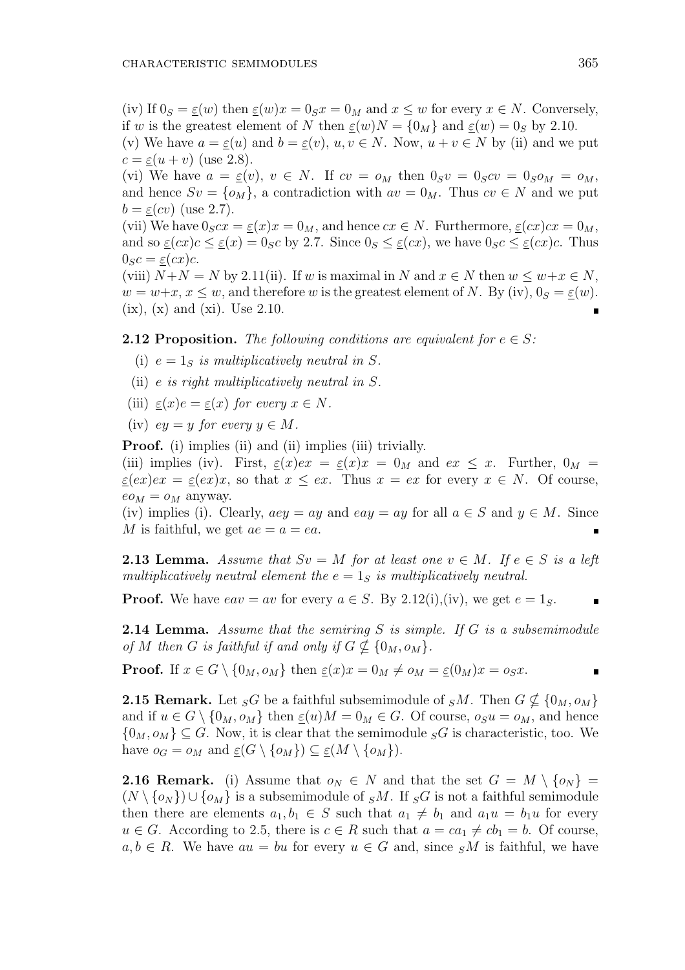(iv) If  $0_S = \varepsilon(w)$  then  $\varepsilon(w)x = 0_Sx = 0_M$  and  $x \leq w$  for every  $x \in N$ . Conversely, if *w* is the greatest element of *N* then  $\underline{\varepsilon}(w)N = \{0_M\}$  and  $\underline{\varepsilon}(w) = 0_S$  by 2.10.

(v) We have  $a = \underline{\varepsilon}(u)$  and  $b = \underline{\varepsilon}(v)$ ,  $u, v \in N$ . Now,  $u + v \in N$  by (ii) and we put  $c = \varepsilon(u + v)$  (use 2.8).

(vi) We have  $a = \underline{\varepsilon}(v)$ ,  $v \in N$ . If  $cv = o_M$  then  $0_S v = 0_S cv = 0_S o_M = o_M$ , and hence  $Sv = \{o_M\}$ , a contradiction with  $av = 0_M$ . Thus  $cv \in N$  and we put  $b = \varepsilon(cv)$  (use 2.7).

(vii) We have  $0_S c x = \underline{\varepsilon}(x) x = 0_M$ , and hence  $c x \in N$ . Furthermore,  $\underline{\varepsilon}(c x) c x = 0_M$ , and so  $\underline{\varepsilon}(cx)c \leq \underline{\varepsilon}(x) = 0_Sc$  by 2.7. Since  $0_S \leq \underline{\varepsilon}(cx)$ , we have  $0_Sc \leq \underline{\varepsilon}(cx)c$ . Thus  $0_Sc = \varepsilon(cx)c$ .

(viii)  $N+N = N$  by 2.11(ii). If *w* is maximal in *N* and  $x \in N$  then  $w \leq w+x \in N$ ,  $w = w + x, x \leq w$ , and therefore *w* is the greatest element of *N*. By (iv),  $0_S = \underline{\varepsilon}(w)$ .  $(ix)$ ,  $(x)$  and  $(xi)$ . Use 2.10.

# **2.12 Proposition.** The following conditions are equivalent for  $e \in S$ :

- (i)  $e = 1_S$  *is multiplicatively neutral in S.*
- (ii) *e is right multiplicatively neutral in S.*
- (iii)  $\varepsilon(x)e = \varepsilon(x)$  for every  $x \in N$ .
- (iv)  $ev = y$  *for every*  $y \in M$ .

**Proof.** (i) implies (ii) and (ii) implies (iii) trivially.

(iii) implies (iv). First,  $\underline{\varepsilon}(x)dx = \underline{\varepsilon}(x)x = 0_M$  and  $ex \leq x$ . Further,  $0_M =$  $\underline{\varepsilon}(ex)ex = \underline{\varepsilon}(ex)x$ , so that  $x \le ex$ . Thus  $x = ex$  for every  $x \in N$ . Of course,  $e_{M} = o_{M}$  anyway.

(iv) implies (i). Clearly,  $aey = ay$  and  $eay = ay$  for all  $a \in S$  and  $y \in M$ . Since *M* is faithful, we get  $ae = a = ea$ .

**2.13 Lemma.** Assume that  $Sv = M$  for at least one  $v \in M$ . If  $e \in S$  is a left *multiplicatively neutral element the*  $e = 1_S$  *is multiplicatively neutral.* 

**Proof.** We have  $eav = av$  for every  $a \in S$ . By 2.12(i),(iv), we get  $e = 1_S$ .

**2.14 Lemma.** *Assume that the semiring S is simple. If G is a subsemimodule* of *M* then *G* is faithful if and only if  $G \nsubseteq \{0_M, o_M\}$ .

**Proof.** If  $x \in G \setminus \{0_M, o_M\}$  then  $\underline{\varepsilon}(x)x = 0_M \neq o_M = \varepsilon(0_M)x = o_Sx$ .

**2.15 Remark.** Let  $_{S}G$  be a faithful subsemimodule of  $_{S}M$ . Then  $G \nsubseteq \{0_M, o_M\}$ and if  $u \in G \setminus \{0_M, o_M\}$  then  $\underline{\varepsilon}(u)M = 0_M \in G$ . Of course,  $o_S u = o_M$ , and hence  $\{0_M, o_M\} \subseteq G$ . Now, it is clear that the semimodule  $_{S}G$  is characteristic, too. We have  $o_G = o_M$  and  $\underline{\varepsilon}(G \setminus \{o_M\}) \subseteq \underline{\varepsilon}(M \setminus \{o_M\}).$ 

**2.16 Remark.** (i) Assume that  $o_N \in N$  and that the set  $G = M \setminus \{o_N\}$  $(N \setminus \{o_N\})$ ∪ $\{o_M\}$  is a subsemimodule of *SM*. If *SG* is not a faithful semimodule then there are elements  $a_1, b_1 \in S$  such that  $a_1 \neq b_1$  and  $a_1u = b_1u$  for every *u* ∈ *G*. According to 2.5, there is *c* ∈ *R* such that  $a = ca_1 ≠ cb_1 = b$ . Of course,  $a, b \in R$ . We have  $au = bu$  for every  $u \in G$  and, since  $sM$  is faithful, we have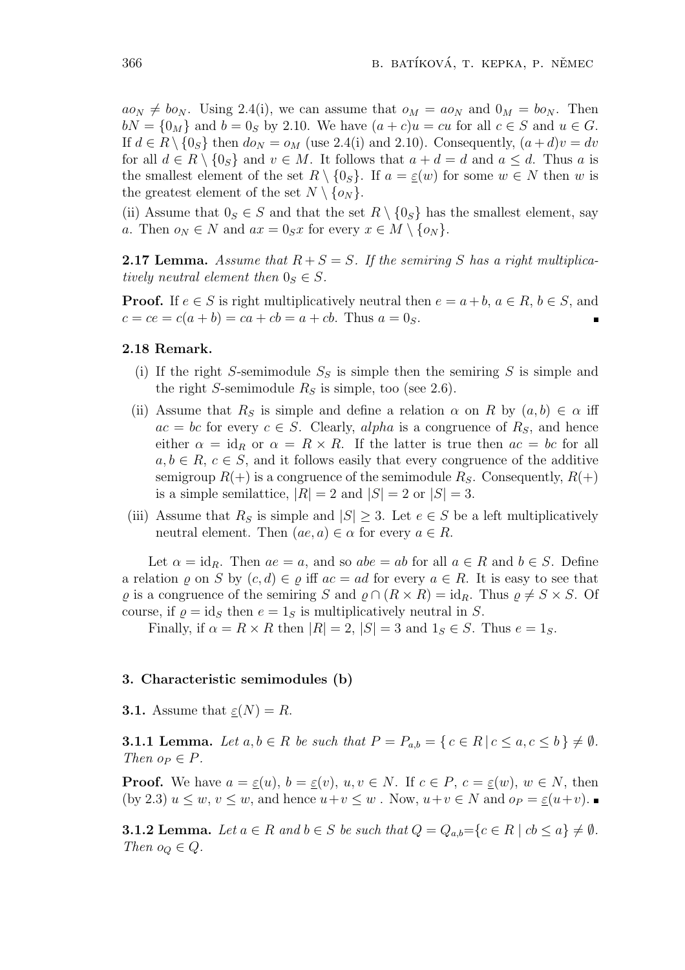$a\omega_N \neq b\omega_N$ . Using 2.4(i), we can assume that  $\omega_M = a\omega_N$  and  $0_M = b\omega_N$ . Then  $bN = \{0_M\}$  and  $b = 0_S$  by 2.10. We have  $(a + c)u = cu$  for all  $c \in S$  and  $u \in G$ . If  $d \in R \setminus \{0_S\}$  then  $d\omega_N = \omega_M$  (use 2.4(i) and 2.10). Consequently,  $(a+d)v = dv$ for all  $d \in R \setminus \{0_S\}$  and  $v \in M$ . It follows that  $a + d = d$  and  $a \leq d$ . Thus *a* is the smallest element of the set  $R \setminus \{0_S\}$ . If  $a = \underline{\varepsilon}(w)$  for some  $w \in N$  then *w* is the greatest element of the set  $N \setminus \{o_N\}$ .

(ii) Assume that  $0_S \in S$  and that the set  $R \setminus \{0_S\}$  has the smallest element, say *a*. Then  $o_N \in N$  and  $ax = 0_Sx$  for every  $x \in M \setminus \{o_N\}$ .

**2.17 Lemma.** Assume that  $R + S = S$ . If the semiring S has a right multiplica*tively neutral element then*  $0_S \in S$ *.* 

**Proof.** If  $e \in S$  is right multiplicatively neutral then  $e = a + b$ ,  $a \in R$ ,  $b \in S$ , and  $c = ce = c(a + b) = ca + cb = a + cb$ . Thus  $a = 0<sub>S</sub>$ .

## **2.18 Remark.**

- (i) If the right *S*-semimodule  $S<sub>S</sub>$  is simple then the semiring *S* is simple and the right *S*-semimodule  $R<sub>S</sub>$  is simple, too (see 2.6).
- (ii) Assume that  $R<sub>S</sub>$  is simple and define a relation  $\alpha$  on  $R$  by  $(a, b) \in \alpha$  iff  $ac = bc$  for every  $c \in S$ . Clearly, *alpha* is a congruence of  $R_S$ , and hence either  $\alpha = id_R$  or  $\alpha = R \times R$ . If the latter is true then  $ac = bc$  for all  $a, b \in R$ ,  $c \in S$ , and it follows easily that every congruence of the additive semigroup  $R(+)$  is a congruence of the semimodule  $R_S$ . Consequently,  $R(+)$ is a simple semilattice,  $|R| = 2$  and  $|S| = 2$  or  $|S| = 3$ .
- (iii) Assume that  $R<sub>S</sub>$  is simple and  $|S| \geq 3$ . Let  $e \in S$  be a left multiplicatively neutral element. Then  $(ae, a) \in \alpha$  for every  $a \in R$ .

Let  $\alpha = id_R$ . Then  $ae = a$ , and so  $abe = ab$  for all  $a \in R$  and  $b \in S$ . Define a relation  $\varrho$  on *S* by  $(c, d) \in \varrho$  iff  $ac = ad$  for every  $a \in R$ . It is easy to see that  $\varrho$  is a congruence of the semiring *S* and  $\varrho \cap (R \times R) = id_R$ . Thus  $\varrho \neq S \times S$ . Of course, if  $\rho = id_S$  then  $e = 1_S$  is multiplicatively neutral in *S*.

Finally, if  $\alpha = R \times R$  then  $|R| = 2$ ,  $|S| = 3$  and  $1_S \in S$ . Thus  $e = 1_S$ .

### **3. Characteristic semimodules (b)**

**3.1.** Assume that  $\underline{\varepsilon}(N) = R$ .

**3.1.1 Lemma.** Let  $a, b \in R$  be such that  $P = P_{a,b} = \{c \in R | c \leq a, c \leq b\} \neq \emptyset$ . *Then*  $o_P \in P$ *.* 

**Proof.** We have  $a = \underline{\varepsilon}(u)$ ,  $b = \underline{\varepsilon}(v)$ ,  $u, v \in N$ . If  $c \in P$ ,  $c = \underline{\varepsilon}(w)$ ,  $w \in N$ , then (by 2.3)  $u \leq w, v \leq w$ , and hence  $u+v \leq w$ . Now,  $u+v \in N$  and  $o_P = \underline{\varepsilon}(u+v)$ .

**3.1.2 Lemma.** Let  $a \in R$  and  $b \in S$  be such that  $Q = Q_{a,b} = \{c \in R \mid cb \leq a\} \neq \emptyset$ . *Then*  $o_Q \in Q$ *.*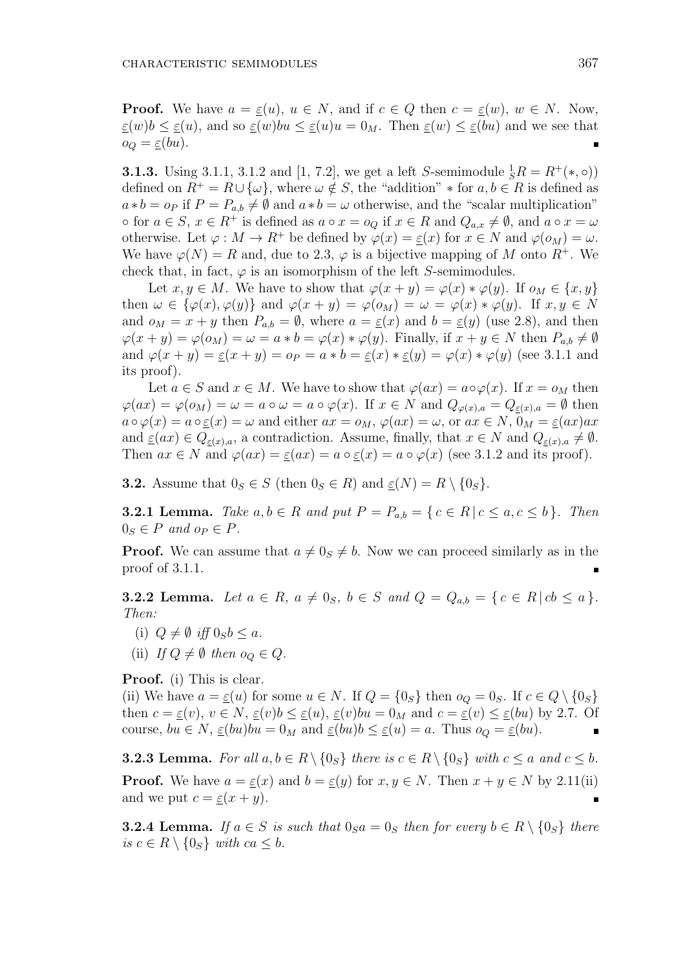**Proof.** We have  $a = \varepsilon(u)$ ,  $u \in N$ , and if  $c \in Q$  then  $c = \varepsilon(w)$ ,  $w \in N$ . Now,  $\epsilon(u)$ *b*  $\leq \epsilon(u)$ , and so  $\epsilon(u)$ *bu*  $\leq \epsilon(u)$ *u* = 0*M*. Then  $\epsilon(u)$   $\leq \epsilon(u)$  and we see that  $o_Q = \underline{\varepsilon}(bu).$ 

**3.1.3.** Using 3.1.1, 3.1.2 and [1, 7.2], we get a left *S*-semimodule  ${}_{S}^{1}R = R^{+}(*, \circ)$ ) defined on  $R^+ = R \cup {\omega}$ , where  $\omega \notin S$ , the "addition"  $*$  for  $a, b \in R$  is defined as  $a * b = o_P$  if  $P = P_{a,b} \neq \emptyset$  and  $a * b = \omega$  otherwise, and the "scalar multiplication"  $\circ$  for  $a \in S$ ,  $x \in R^+$  is defined as  $a \circ x = o_Q$  if  $x \in R$  and  $Q_{a,x} \neq \emptyset$ , and  $a \circ x = \omega$ otherwise. Let  $\varphi : M \to R^+$  be defined by  $\varphi(x) = \varepsilon(x)$  for  $x \in N$  and  $\varphi(o_M) = \omega$ . We have  $\varphi(N) = R$  and, due to 2.3,  $\varphi$  is a bijective mapping of M onto  $R^+$ . We check that, in fact,  $\varphi$  is an isomorphism of the left *S*-semimodules.

Let  $x, y \in M$ . We have to show that  $\varphi(x + y) = \varphi(x) * \varphi(y)$ . If  $o_M \in \{x, y\}$ then  $\omega \in {\varphi(x), \varphi(y)}$  and  $\varphi(x+y) = \varphi(0_M) = \omega = \varphi(x) * \varphi(y)$ . If  $x, y \in N$ and  $o_M = x + y$  then  $P_{a,b} = \emptyset$ , where  $a = \underline{\varepsilon}(x)$  and  $b = \underline{\varepsilon}(y)$  (use 2.8), and then  $\varphi(x+y) = \varphi(o_M) = \omega = a * b = \varphi(x) * \varphi(y)$ . Finally, if  $x + y \in N$  then  $P_{a,b} \neq \emptyset$ and  $\varphi(x+y) = \underline{\varepsilon}(x+y) = o_P = a * b = \underline{\varepsilon}(x) * \underline{\varepsilon}(y) = \varphi(x) * \varphi(y)$  (see 3.1.1 and its proof).

Let  $a \in S$  and  $x \in M$ . We have to show that  $\varphi(ax) = a \circ \varphi(x)$ . If  $x = o_M$  then  $\varphi(ax) = \varphi(o_M) = \omega = a \circ \omega = a \circ \varphi(x)$ . If  $x \in N$  and  $Q_{\varphi(x),a} = Q_{\varepsilon(x),a} = \emptyset$  then  $a \circ \varphi(x) = a \circ \underline{\varepsilon}(x) = \omega$  and either  $ax = o_M$ ,  $\varphi(ax) = \omega$ , or  $ax \in N$ ,  $0_M = \underline{\varepsilon}(ax)ax$ and  $\underline{\varepsilon}(ax) \in Q_{\varepsilon}(x), a$ , a contradiction. Assume, finally, that  $x \in N$  and  $Q_{\varepsilon}(x), a \neq \emptyset$ . Then  $ax \in N$  and  $\varphi(ax) = \underline{\varepsilon}(ax) = a \circ \underline{\varepsilon}(x) = a \circ \varphi(x)$  (see 3.1.2 and its proof).

**3.2.** Assume that  $0_S \in S$  (then  $0_S \in R$ ) and  $\underline{\varepsilon}(N) = R \setminus \{0_S\}.$ 

**3.2.1 Lemma.** *Take*  $a, b \in R$  *and put*  $P = P_{a,b} = \{c \in R | c \leq a, c \leq b\}$ *. Then*  $0_S \in P$  and  $o_P \in P$ .

**Proof.** We can assume that  $a \neq 0$ <sup>*s*</sup>  $\neq b$ . Now we can proceed similarly as in the proof of 3.1.1.

**3.2.2 Lemma.** Let  $a \in R$ ,  $a \neq 0_S$ ,  $b \in S$  and  $Q = Q_{a,b} = \{c \in R | cb \leq a\}.$ *Then:*

- (i)  $Q \neq \emptyset$  *iff*  $0_S b \leq a$ .
- (ii) *If*  $Q \neq \emptyset$  *then*  $o_Q \in Q$ *.*

**Proof.** (i) This is clear.

(ii) We have  $a = \underline{\varepsilon}(u)$  for some  $u \in N$ . If  $Q = \{0_S\}$  then  $o_Q = 0_S$ . If  $c \in Q \setminus \{0_S\}$ then  $c = \underline{\varepsilon}(v)$ ,  $v \in N$ ,  $\underline{\varepsilon}(v)b \le \underline{\varepsilon}(u)$ ,  $\underline{\varepsilon}(v)bu = 0_M$  and  $c = \underline{\varepsilon}(v) \le \underline{\varepsilon}(bu)$  by 2.7. Of course,  $bu \in N$ ,  $\underline{\varepsilon}(bu)bu = 0_M$  and  $\underline{\varepsilon}(bu)b \le \underline{\varepsilon}(u) = a$ . Thus  $o_Q = \underline{\varepsilon}(bu)$ .

**3.2.3 Lemma.** For all  $a, b \in R \setminus \{0_S\}$  there is  $c \in R \setminus \{0_S\}$  with  $c \le a$  and  $c \le b$ . **Proof.** We have  $a = \underline{\varepsilon}(x)$  and  $b = \underline{\varepsilon}(y)$  for  $x, y \in N$ . Then  $x + y \in N$  by 2.11(ii) and we put  $c = \underline{\varepsilon}(x + y)$ .

**3.2.4 Lemma.** *If*  $a \in S$  *is such that*  $0_S a = 0_S$  *then for every*  $b \in R \setminus \{0_S\}$  *there is c* ∈ *R*  $\setminus$  {0*s*} *with ca*  $\leq$  *b.*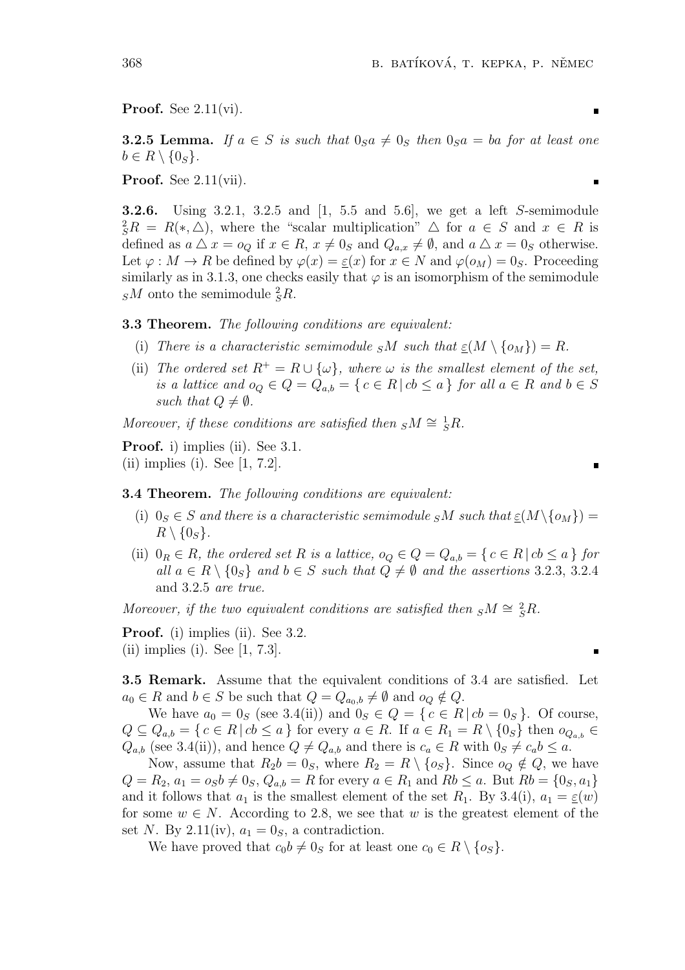**Proof.** See 2.11(vi).

**3.2.5 Lemma.** If  $a \in S$  is such that  $0_S a \neq 0_S$  then  $0_S a = ba$  for at least one  $b \in R \setminus \{0_S\}.$ 

**Proof.** See 2.11(vii).

**3.2.6.** Using 3.2.1, 3.2.5 and [1, 5.5 and 5.6], we get a left *S*-semimodule  ${}_{S}^{2}R = R(*,\triangle)$ , where the "scalar multiplication"  $\triangle$  for  $a \in S$  and  $x \in R$  is defined as  $a \triangle x = o_Q$  if  $x \in R$ ,  $x \neq 0_S$  and  $Q_{a,x} \neq \emptyset$ , and  $a \triangle x = 0_S$  otherwise. Let  $\varphi : M \to R$  be defined by  $\varphi(x) = \varepsilon(x)$  for  $x \in N$  and  $\varphi(o_M) = 0_S$ . Proceeding similarly as in 3.1.3, one checks easily that  $\varphi$  is an isomorphism of the semimodule  $s^M$  onto the semimodule  $s^2 R$ .

**3.3 Theorem.** *The following conditions are equivalent:*

- (i) *There is a characteristic semimodule*  $sM$  *such that*  $\varepsilon(M \setminus \{o_M\}) = R$ .
- (ii) *The ordered set*  $R^+ = R \cup {\omega}$ , where  $\omega$  *is the smallest element of the set.* is a lattice and  $o_Q \in Q = Q_{a,b} = \{c \in R \mid cb \leq a\}$  for all  $a \in R$  and  $b \in S$ *such that*  $Q \neq \emptyset$ *.*

*Moreover, if these conditions are satisfied then*  $sM \cong {}^1_sR$ *.* 

**Proof.** i) implies (ii). See 3.1. (ii) implies (i). See [1, 7.2].

#### **3.4 Theorem.** *The following conditions are equivalent:*

- (i)  $0_S \in S$  *and there is a characteristic semimodule*  $sM$  *such that*  $\underline{\varepsilon}(M \setminus \{o_M\}) =$  $R \setminus \{0_S\}.$
- (ii)  $0_R \in R$ , the ordered set R is a lattice,  $o_Q \in Q = Q_{a,b} = \{c \in R \mid cb \le a\}$  for *all*  $a \in R \setminus \{0_S\}$  and  $b \in S$  *such that*  $Q \neq \emptyset$  *and the assertions* 3.2.3, 3.2.4 and 3.2.5 *are true.*

*Moreover, if the two equivalent conditions are satisfied then*  $sM \cong {}^{2}_{S}R$ .

**Proof.** (i) implies (ii). See 3.2. (ii) implies (i). See  $[1, 7.3]$ .

**3.5 Remark.** Assume that the equivalent conditions of 3.4 are satisfied. Let  $a_0 \in R$  and  $b \in S$  be such that  $Q = Q_{a_0,b} \neq \emptyset$  and  $o_Q \notin Q$ .

We have  $a_0 = 0_S$  (see 3.4(ii)) and  $0_S \in Q = \{c \in R \mid cb = 0_S\}$ . Of course,  $Q \subseteq Q_{a,b} = \{c \in R \mid cb \le a\}$  for every  $a \in R$ . If  $a \in R_1 = R \setminus \{0_S\}$  then  $o_{Q_{a,b}} \in$  $Q_{a,b}$  (see 3.4(ii)), and hence  $Q \neq Q_{a,b}$  and there is  $c_a \in R$  with  $0_S \neq c_a b \leq a$ .

Now, assume that  $R_2b = 0_S$ , where  $R_2 = R \setminus \{o_S\}$ . Since  $o_O \notin Q$ , we have  $Q = R_2, a_1 = o_S b \neq 0_S, Q_{a,b} = R$  for every  $a \in R_1$  and  $Rb \leq a$ . But  $Rb = \{0_S, a_1\}$ and it follows that  $a_1$  is the smallest element of the set  $R_1$ . By 3.4(i),  $a_1 = \underline{\varepsilon}(w)$ for some  $w \in N$ . According to 2.8, we see that *w* is the greatest element of the set *N*. By 2.11(iv),  $a_1 = 0_S$ , a contradiction.

We have proved that  $c_0b \neq 0_S$  for at least one  $c_0 \in R \setminus \{o_S\}$ .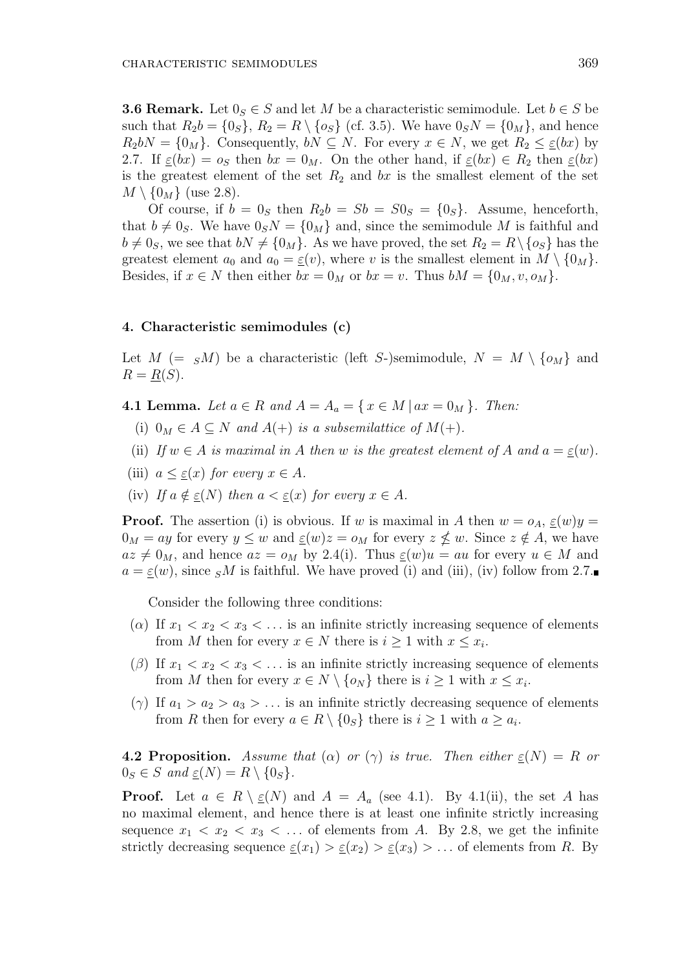**3.6 Remark.** Let  $0_S \in S$  and let M be a characteristic semimodule. Let  $b \in S$  be such that  $R_2b = \{0_S\}$ ,  $R_2 = R \setminus \{o_S\}$  (cf. 3.5). We have  $0_SN = \{0_M\}$ , and hence  $R_2 bN = \{0_M\}$ . Consequently,  $bN \subseteq N$ . For every  $x \in N$ , we get  $R_2 \leq \underline{\varepsilon}(bx)$  by 2.7. If  $\underline{\varepsilon}(bx) = o_S$  then  $bx = 0_M$ . On the other hand, if  $\underline{\varepsilon}(bx) \in R_2$  then  $\underline{\varepsilon}(bx)$ is the greatest element of the set  $R_2$  and  $bx$  is the smallest element of the set  $M \setminus \{0_M\}$  (use 2.8).

Of course, if  $b = 0$ <sub>S</sub> then  $R_2b = Sb = S0$ <sub>S</sub> =  $\{0$ <sub>S</sub> $\}$ . Assume, henceforth, that  $b \neq 0_S$ . We have  $0_S N = \{0_M\}$  and, since the semimodule *M* is faithful and  $b \neq 0$ <sub>*S*</sub>, we see that  $bN \neq \{0_M\}$ . As we have proved, the set  $R_2 = R \setminus \{o_S\}$  has the greatest element  $a_0$  and  $a_0 = \varepsilon(v)$ , where *v* is the smallest element in  $M \setminus \{0_M\}$ . Besides, if  $x \in N$  then either  $bx = 0_M$  or  $bx = v$ . Thus  $bM = \{0_M, v, o_M\}$ .

# **4. Characteristic semimodules (c)**

Let  $M$  (=  $sM$ ) be a characteristic (left *S*-)semimodule,  $N = M \setminus \{o_M\}$  and  $R = R(S)$ .

**4.1 Lemma.** Let  $a \in R$  and  $A = A_a = \{x \in M \mid ax = 0_M\}$ . Then:

- (i)  $0_M \in A \subseteq N$  *and*  $A(+)$  *is a subsemilattice of*  $M(+)$ *.*
- (ii) If  $w \in A$  *is maximal in*  $A$  *then*  $w$  *is the greatest element of*  $A$  *and*  $a = \varepsilon(w)$ *.*
- (iii)  $a \leq \varepsilon(x)$  for every  $x \in A$ .
- (iv) If  $a \notin \varepsilon(N)$  then  $a < \varepsilon(x)$  for every  $x \in A$ .

**Proof.** The assertion (i) is obvious. If *w* is maximal in *A* then  $w = o_A$ ,  $\underline{\varepsilon}(w)y =$  $0_M = ay$  for every  $y \leq w$  and  $\underline{\varepsilon}(w)z = o_M$  for every  $z \nleq w$ . Since  $z \notin A$ , we have  $az \neq 0_M$ , and hence  $az = o_M$  by 2.4(i). Thus  $\underline{\varepsilon}(w)u = au$  for every  $u \in M$  and  $a = \underline{\varepsilon}(w)$ , since *SM* is faithful. We have proved (i) and (iii), (iv) follow from 2.7.

Consider the following three conditions:

- ( $\alpha$ ) If  $x_1 < x_2 < x_3 < \dots$  is an infinite strictly increasing sequence of elements from *M* then for every  $x \in N$  there is  $i \geq 1$  with  $x \leq x_i$ .
- ( $\beta$ ) If  $x_1 < x_2 < x_3 < \ldots$  is an infinite strictly increasing sequence of elements from *M* then for every  $x \in N \setminus \{o_N\}$  there is  $i \geq 1$  with  $x \leq x_i$ .
- ( $\gamma$ ) If  $a_1 > a_2 > a_3 > ...$  is an infinite strictly decreasing sequence of elements from *R* then for every  $a \in R \setminus \{0_S\}$  there is  $i \geq 1$  with  $a \geq a_i$ .

**4.2 Proposition.** Assume that  $(\alpha)$  or  $(\gamma)$  is true. Then either  $\varepsilon(N) = R$  or  $0_S \in S$  *and*  $\underline{\varepsilon}(N) = R \setminus \{0_S\}.$ 

**Proof.** Let  $a \in R \setminus \underline{\varepsilon}(N)$  and  $A = A_a$  (see 4.1). By 4.1(ii), the set *A* has no maximal element, and hence there is at least one infinite strictly increasing sequence  $x_1 < x_2 < x_3 < \ldots$  of elements from A. By 2.8, we get the infinite strictly decreasing sequence  $\underline{\varepsilon}(x_1) > \underline{\varepsilon}(x_2) > \underline{\varepsilon}(x_3) > \dots$  of elements from *R*. By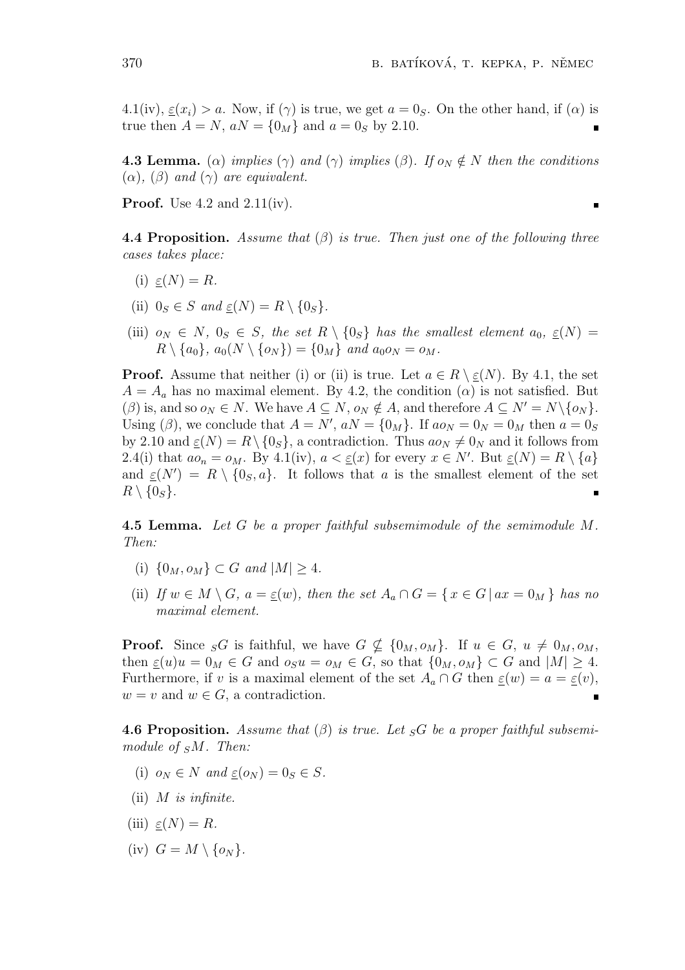4.1(iv),  $\varepsilon(x_i) > a$ . Now, if ( $\gamma$ ) is true, we get  $a = 0_S$ . On the other hand, if ( $\alpha$ ) is true then  $A = N$ ,  $aN = \{0_M\}$  and  $a = 0_S$  by 2.10.

**4.3 Lemma.** ( $\alpha$ ) *implies* ( $\gamma$ ) *and* ( $\gamma$ ) *implies* ( $\beta$ )*. If*  $o_N \notin N$  *then the conditions*  $(\alpha)$ ,  $(\beta)$  *and*  $(\gamma)$  *are equivalent.* 

**Proof.** Use 4.2 and 2.11(iv).

**4.4 Proposition.** *Assume that* (*β*) *is true. Then just one of the following three cases takes place:*

- (i)  $\varepsilon(N) = R$ .
- (ii)  $0_S \in S$  *and*  $\varepsilon(N) = R \setminus \{0_S\}.$
- (iii)  $o_N \in N$ ,  $0_S \in S$ , the set  $R \setminus \{0_S\}$  has the smallest element  $a_0$ ,  $\underline{\varepsilon}(N) =$  $R \setminus \{a_0\}, a_0(N \setminus \{o_N\}) = \{0_M\}$  *and*  $a_0o_N = o_M$ .

**Proof.** Assume that neither (i) or (ii) is true. Let  $a \in R \setminus \underline{\varepsilon}(N)$ . By 4.1, the set  $A = A_a$  has no maximal element. By 4.2, the condition  $(\alpha)$  is not satisfied. But  $(\beta)$  is, and so  $o_N \in N$ . We have  $A \subseteq N$ ,  $o_N \notin A$ , and therefore  $A \subseteq N' = N \setminus \{o_N\}$ . Using ( $\beta$ ), we conclude that  $A = N'$ ,  $aN = \{0_M\}$ . If  $ao_N = 0_N = 0_M$  then  $a = 0_S$ by 2.10 and  $\underline{\varepsilon}(N) = R \setminus \{0_S\}$ , a contradiction. Thus  $a\omega_N \neq 0_N$  and it follows from 2.4(i) that  $ao_n = o_M$ . By 4.1(iv),  $a < \underline{\varepsilon}(x)$  for every  $x \in N'$ . But  $\underline{\varepsilon}(N) = R \setminus \{a\}$ and  $\underline{\varepsilon}(N') = R \setminus \{0_S, a\}$ . It follows that *a* is the smallest element of the set  $R \setminus \{0_S\}.$ 

**4.5 Lemma.** *Let G be a proper faithful subsemimodule of the semimodule M. Then:*

- (i)  $\{0_M, o_M\} \subset G$  *and*  $|M| > 4$ *.*
- (ii) If  $w \in M \setminus G$ ,  $a = \underline{\varepsilon}(w)$ , then the set  $A_a \cap G = \{x \in G \mid ax = 0_M\}$  has no *maximal element.*

**Proof.** Since  $_{S}G$  is faithful, we have  $G \nsubseteq \{0_M, o_M\}$ . If  $u \in G$ ,  $u \neq 0_M$ ,  $o_M$ , then  $\underline{\varepsilon}(u)u = 0_M \in G$  and  $o_S u = o_M \in G$ , so that  $\{0_M, o_M\} \subset G$  and  $|M| \geq 4$ . Furthermore, if *v* is a maximal element of the set  $A_a \cap G$  then  $\underline{\varepsilon}(w) = a = \underline{\varepsilon}(v)$ ,  $w = v$  and  $w \in G$ , a contradiction.

**4.6 Proposition.** Assume that  $(\beta)$  is true. Let  $_{S}G$  be a proper faithful subsemi*module of <sup>S</sup>M. Then:*

- (i)  $o_N \in N$  *and*  $\varepsilon(o_N) = 0_S \in S$ .
- (ii) *M is infinite.*
- $(iii) \varepsilon(N) = R.$
- $(iv)$   $G = M \setminus \{o_N\}.$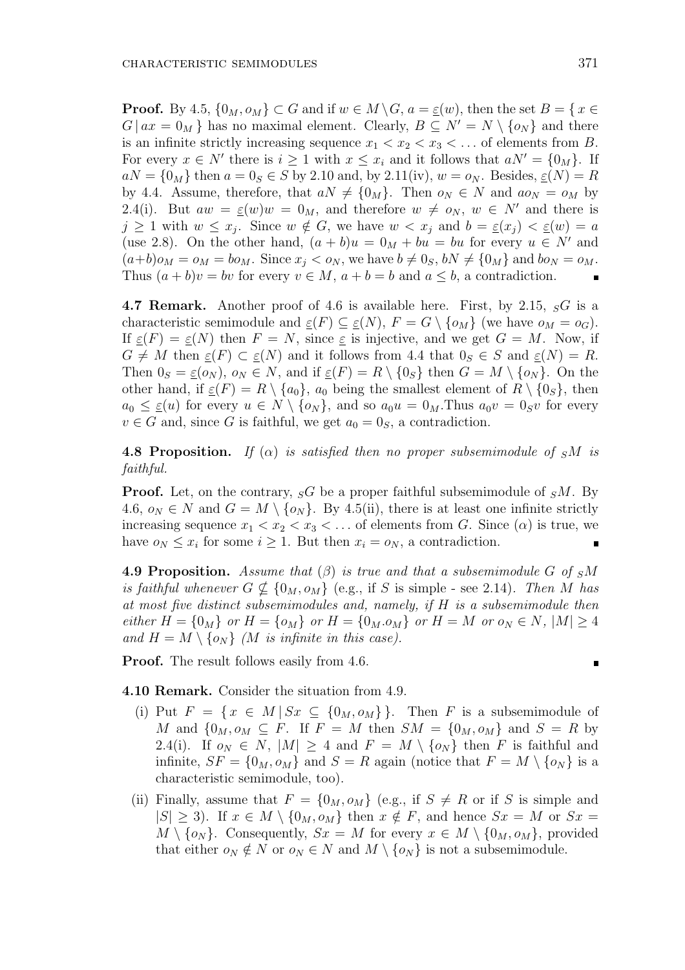**Proof.** By 4.5,  $\{0_M, o_M\} \subset G$  and if  $w \in M \setminus G$ ,  $a = \underline{\varepsilon}(w)$ , then the set  $B = \{x \in G\}$  $G \mid ax = 0_M$  has no maximal element. Clearly,  $B \subseteq N' = N \setminus \{o_N\}$  and there is an infinite strictly increasing sequence  $x_1 < x_2 < x_3 < \ldots$  of elements from *B*. For every  $x \in N'$  there is  $i \geq 1$  with  $x \leq x_i$  and it follows that  $aN' = \{0_M\}$ . If  $aN = \{0_M\}$  then  $a = 0_S \in S$  by 2.10 and, by 2.11(iv),  $w = o_N$ . Besides,  $\underline{\varepsilon}(N) = R$ by 4.4. Assume, therefore, that  $aN \neq \{0_M\}$ . Then  $o_N \in N$  and  $ao_N = o_M$  by 2.4(i). But  $aw = \underline{\varepsilon}(w)w = 0_M$ , and therefore  $w \neq o_N$ ,  $w \in N'$  and there is  $j \geq 1$  with  $w \leq x_j$ . Since  $w \notin G$ , we have  $w < x_j$  and  $b = \underline{\varepsilon}(x_j) < \underline{\varepsilon}(w) = a$ (use 2.8). On the other hand,  $(a + b)u = 0<sub>M</sub> + bu = bu$  for every  $u \in N'$  and  $(a+b)o_M = o_M = bo_M$ . Since  $x_i < o_N$ , we have  $b \neq 0_S$ ,  $bN \neq \{0_M\}$  and  $bo_N = o_M$ . Thus  $(a + b)v = bv$  for every  $v \in M$ ,  $a + b = b$  and  $a \leq b$ , a contradiction.

**4.7 Remark.** Another proof of 4.6 is available here. First, by 2.15, *<sup>S</sup>G* is a characteristic semimodule and  $\underline{\varepsilon}(F) \subseteq \underline{\varepsilon}(N)$ ,  $F = G \setminus \{o_M\}$  (we have  $o_M = o_G$ ). If  $\varepsilon(F) = \varepsilon(N)$  then  $F = N$ , since  $\varepsilon$  is injective, and we get  $G = M$ . Now, if  $G \neq M$  then  $\underline{\varepsilon}(F) \subset \underline{\varepsilon}(N)$  and it follows from 4.4 that  $0_S \in S$  and  $\underline{\varepsilon}(N) = R$ . Then  $0_S = \underline{\varepsilon}(o_N)$ ,  $o_N \in N$ , and if  $\underline{\varepsilon}(F) = R \setminus \{0_S\}$  then  $G = M \setminus \{o_N\}$ . On the other hand, if  $\underline{\varepsilon}(F) = R \setminus \{a_0\}$ ,  $a_0$  being the smallest element of  $R \setminus \{0_S\}$ , then  $a_0 \leq \underline{\varepsilon}(u)$  for every  $u \in N \setminus \{o_N\}$ , and so  $a_0u = 0_M$ . Thus  $a_0v = 0_Sv$  for every  $v \in G$  and, since *G* is faithful, we get  $a_0 = 0_S$ , a contradiction.

**4.8 Proposition.** *If* ( $\alpha$ ) *is satisfied then no proper subsemimodule of SM is faithful.*

**Proof.** Let, on the contrary,  $_{S}G$  be a proper faithful subsemimodule of  $_{S}M$ . By 4.6,  $o_N \in N$  and  $G = M \setminus \{o_N\}$ . By 4.5(ii), there is at least one infinite strictly increasing sequence  $x_1 < x_2 < x_3 < \ldots$  of elements from *G*. Since ( $\alpha$ ) is true, we have  $o_N \leq x_i$  for some  $i \geq 1$ . But then  $x_i = o_N$ , a contradiction.

**4.9 Proposition.** Assume that  $(\beta)$  is true and that a subsemimodule G of  $sM$ *is faithful whenever*  $G \nsubseteq \{0_M, o_M\}$  (e.g., if *S* is simple - see 2.14). Then *M* has *at most five distinct subsemimodules and, namely, if H is a subsemimodule then* either  $H = \{0_M\}$  or  $H = \{o_M\}$  or  $H = \{0_M.o_M\}$  or  $H = M$  or  $o_N \in N$ ,  $|M| \geq 4$ *and*  $H = M \setminus \{o_N\}$  *(M is infinite in this case).* 

**Proof.** The result follows easily from 4.6.

**4.10 Remark.** Consider the situation from 4.9.

- (i) Put  $F = \{x \in M | Sx \subseteq \{0_M, o_M\}\}\.$  Then *F* is a subsemimodule of *M* and  $\{0_M, o_M \subseteq F$ . If  $F = M$  then  $SM = \{0_M, o_M\}$  and  $S = R$  by 2.4(i). If  $o_N \in N$ ,  $|M| \geq 4$  and  $F = M \setminus \{o_N\}$  then *F* is faithful and infinite,  $SF = \{0_M, o_M\}$  and  $S = R$  again (notice that  $F = M \setminus \{o_N\}$  is a characteristic semimodule, too).
- (ii) Finally, assume that  $F = \{0_M, o_M\}$  (e.g., if  $S \neq R$  or if *S* is simple and  $|S| \geq 3$ . If  $x \in M \setminus \{0_M, o_M\}$  then  $x \notin F$ , and hence  $Sx = M$  or  $Sx =$  $M \setminus \{o_N\}$ . Consequently,  $Sx = M$  for every  $x \in M \setminus \{0_M, o_M\}$ , provided that either  $o_N \notin N$  or  $o_N \in N$  and  $M \setminus \{o_N\}$  is not a subsemimodule.

 $\blacksquare$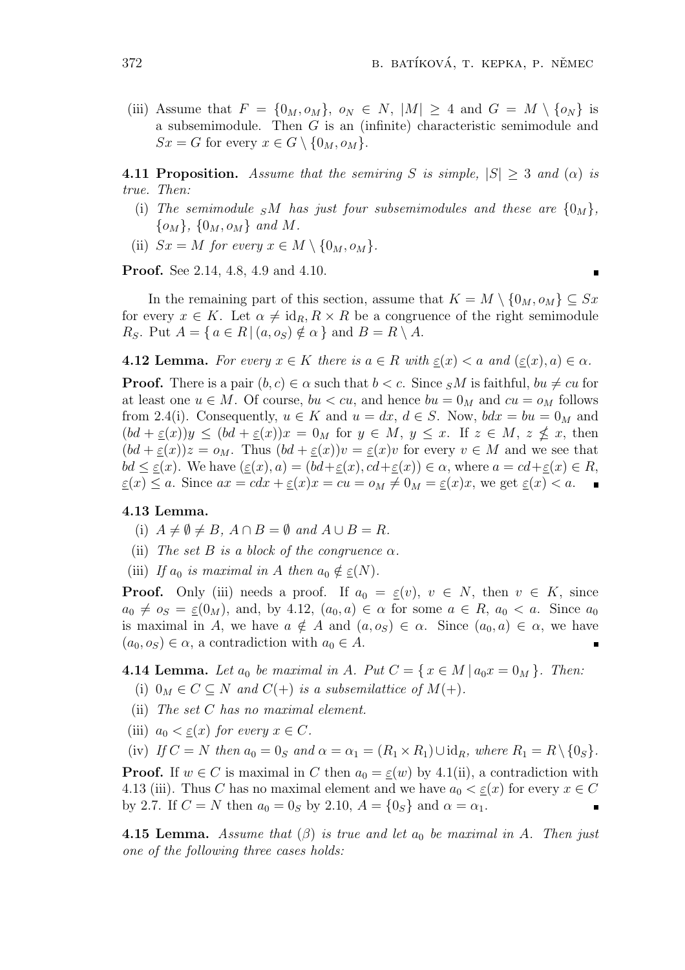$\blacksquare$ 

(iii) Assume that  $F = \{0_M, o_M\}$ ,  $o_N \in N$ ,  $|M| \geq 4$  and  $G = M \setminus \{o_N\}$  is a subsemimodule. Then *G* is an (infinite) characteristic semimodule and  $Sx = G$  for every  $x \in G \setminus \{0_M, o_M\}.$ 

**4.11 Proposition.** Assume that the semiring *S* is simple,  $|S| \geq 3$  and  $(\alpha)$  is *true. Then:*

- (i) The semimodule  $sM$  has just four subsemimodules and these are  $\{0_M\}$ , *{oM}, {*0*M, oM} and M.*
- (ii)  $Sx = M$  *for every*  $x \in M \setminus \{0_M, o_M\}.$

**Proof.** See 2.14, 4.8, 4.9 and 4.10.

In the remaining part of this section, assume that  $K = M \setminus \{0_M, o_M\} \subseteq Sx$ for every  $x \in K$ . Let  $\alpha \neq id_R, R \times R$  be a congruence of the right semimodule *R<sub>S</sub>*. Put  $A = \{ a \in R \mid (a, o_S) \notin \alpha \}$  and  $B = R \setminus A$ .

**4.12 Lemma.** For every  $x \in K$  there is  $a \in R$  with  $\varepsilon(x) < a$  and  $(\varepsilon(x), a) \in \alpha$ .

**Proof.** There is a pair  $(b, c) \in \alpha$  such that  $b < c$ . Since  $sM$  is faithful,  $bu \neq cu$  for at least one  $u \in M$ . Of course,  $bu < cu$ , and hence  $bu = 0_M$  and  $cu = o_M$  follows from 2.4(i). Consequently,  $u \in K$  and  $u = dx$ ,  $d \in S$ . Now,  $bdx = bu = 0_M$  and  $(bd + \underline{\varepsilon}(x))y \leq (bd + \underline{\varepsilon}(x))x = 0$  for  $y \in M$ ,  $y \leq x$ . If  $z \in M$ ,  $z \nleq x$ , then  $(bd + \varepsilon(x))z = o_M$ . Thus  $(bd + \varepsilon(x))v = \varepsilon(x)v$  for every  $v \in M$  and we see that  $bd \leq \varepsilon(x)$ . We have  $(\varepsilon(x), a) = (bd + \varepsilon(x), cd + \varepsilon(x)) \in \alpha$ , where  $a = cd + \varepsilon(x) \in R$ ,  $\underline{\varepsilon}(x) \leq a$ . Since  $ax = cdx + \underline{\varepsilon}(x)x = cu = o_M \neq 0_M = \underline{\varepsilon}(x)x$ , we get  $\underline{\varepsilon}(x) < a$ .

# **4.13 Lemma.**

- $(i)$   $A \neq \emptyset \neq B$ ,  $A \cap B = \emptyset$  and  $A \cup B = R$ .
- (ii) *The set*  $B$  *is a block of the congruence*  $\alpha$ *.*
- (iii) *If*  $a_0$  *is maximal in A then*  $a_0 \notin \underline{\varepsilon}(N)$ .

**Proof.** Only (iii) needs a proof. If  $a_0 = \underline{\varepsilon}(v)$ ,  $v \in N$ , then  $v \in K$ , since  $a_0 \neq o_s = \underline{\varepsilon}(0_M)$ , and, by 4.12,  $(a_0, a) \in \alpha$  for some  $a \in R$ ,  $a_0 < a$ . Since  $a_0$ is maximal in *A*, we have  $a \notin A$  and  $(a, o_S) \in \alpha$ . Since  $(a_0, a) \in \alpha$ , we have  $(a_0, o_S) \in \alpha$ , a contradiction with  $a_0 \in A$ .

**4.14 Lemma.** Let  $a_0$  be maximal in A. Put  $C = \{x \in M \mid a_0x = 0_M\}$ . Then:

- (i)  $0_M \in C \subseteq N$  *and*  $C(+)$  *is a subsemilattice of*  $M(+)$ *.*
- (ii) *The set C has no maximal element.*
- (iii)  $a_0 < \underline{\varepsilon}(x)$  for every  $x \in C$ .

(iv) *If*  $C = N$  *then*  $a_0 = 0_S$  *and*  $\alpha = \alpha_1 = (R_1 \times R_1) \cup \text{id}_R$ *, where*  $R_1 = R \setminus \{0_S\}$ *.* 

**Proof.** If  $w \in C$  is maximal in C then  $a_0 = \underline{\varepsilon}(w)$  by 4.1(ii), a contradiction with 4.13 (iii). Thus *C* has no maximal element and we have  $a_0 < \varepsilon(x)$  for every  $x \in C$ by 2.7. If  $C = N$  then  $a_0 = 0_S$  by 2.10,  $A = \{0_S\}$  and  $\alpha = \alpha_1$ .

**4.15 Lemma.** *Assume that*  $(\beta)$  *is true and let*  $a_0$  *be maximal in A. Then just one of the following three cases holds:*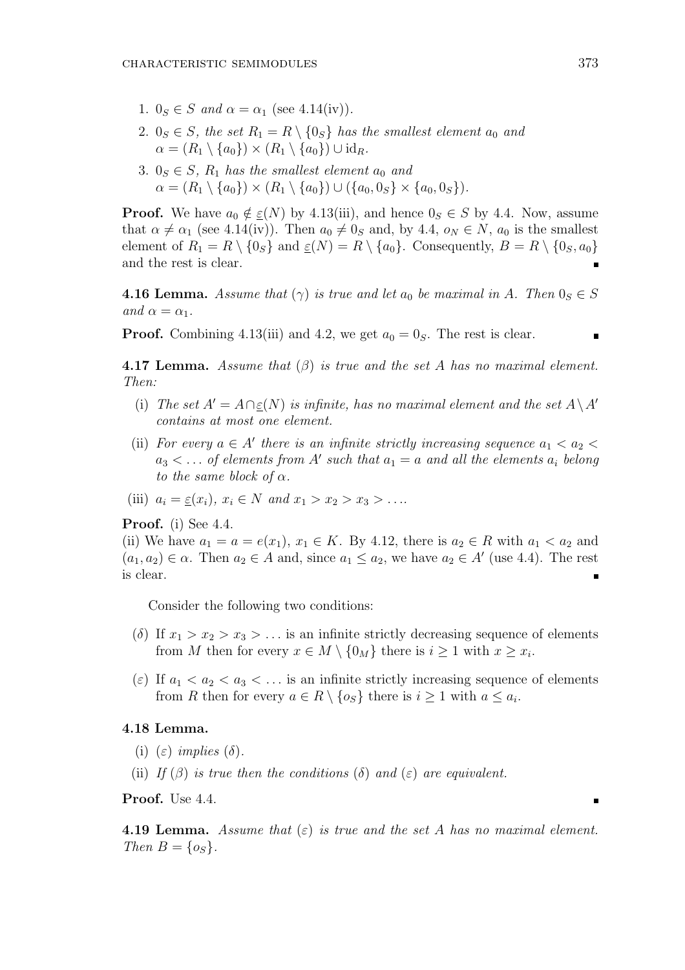- 1.  $0_S \in S$  *and*  $\alpha = \alpha_1$  (see 4.14(iv)).
- 2.  $0_S \in S$ , the set  $R_1 = R \setminus \{0_S\}$  has the smallest element  $a_0$  and  $\alpha = (R_1 \setminus \{a_0\}) \times (R_1 \setminus \{a_0\}) \cup \mathrm{id}_R$ .
- 3.  $0_s \in S$ ,  $R_1$  *has the smallest element*  $a_0$  *and*  $\alpha = (R_1 \setminus \{a_0\}) \times (R_1 \setminus \{a_0\}) \cup (\{a_0, 0_S\} \times \{a_0, 0_S\}).$

**Proof.** We have  $a_0 \notin \underline{\varepsilon}(N)$  by 4.13(iii), and hence  $0_S \in S$  by 4.4. Now, assume that  $\alpha \neq \alpha_1$  (see 4.14(iv)). Then  $a_0 \neq 0_S$  and, by 4.4,  $o_N \in N$ ,  $a_0$  is the smallest element of  $R_1 = R \setminus \{0_S\}$  and  $\underline{\varepsilon}(N) = R \setminus \{a_0\}$ . Consequently,  $B = R \setminus \{0_S, a_0\}$ and the rest is clear.  $\blacksquare$ 

**4.16 Lemma.** Assume that  $(\gamma)$  is true and let  $a_0$  be maximal in A. Then  $0_S \in S$ *and*  $\alpha = \alpha_1$ *.* 

**Proof.** Combining 4.13(iii) and 4.2, we get  $a_0 = 0_S$ . The rest is clear.

**4.17 Lemma.** *Assume that* (*β*) *is true and the set A has no maximal element. Then:*

- (i) *The set*  $A' = A \cap \underline{\epsilon}(N)$  *is infinite, has no maximal element and the set*  $A \setminus A'$ *contains at most one element.*
- (ii) *For every*  $a \in A'$  *there is an infinite strictly increasing sequence*  $a_1 < a_2 < a_1$  $a_3 < \ldots$  *of elements from A' such that*  $a_1 = a$  *and all the elements*  $a_i$  *belong to the same block of*  $\alpha$ *.*
- (iii)  $a_i = \varepsilon(x_i)$ ,  $x_i \in N$  *and*  $x_1 > x_2 > x_3 > ...$

#### **Proof.** (i) See 4.4.

(ii) We have  $a_1 = a = e(x_1)$ ,  $x_1 \in K$ . By 4.12, there is  $a_2 \in R$  with  $a_1 < a_2$  and  $(a_1, a_2) \in \alpha$ . Then  $a_2 \in A$  and, since  $a_1 \le a_2$ , we have  $a_2 \in A'$  (use 4.4). The rest is clear.

Consider the following two conditions:

- (*δ*) If  $x_1 > x_2 > x_3 > ...$  is an infinite strictly decreasing sequence of elements from *M* then for every  $x \in M \setminus \{0_M\}$  there is  $i \geq 1$  with  $x \geq x_i$ .
- (*ε*) If  $a_1 < a_2 < a_3 < \ldots$  is an infinite strictly increasing sequence of elements from *R* then for every  $a \in R \setminus \{o_S\}$  there is  $i \geq 1$  with  $a \leq a_i$ .

## **4.18 Lemma.**

- (i)  $(\varepsilon)$  *implies*  $(\delta)$ .
- (ii) *If* ( $\beta$ ) *is true then the conditions* ( $\delta$ ) *and* ( $\varepsilon$ ) *are equivalent.*

**Proof.** Use 4.4.

**4.19 Lemma.** *Assume that* (*ε*) *is true and the set A has no maximal element. Then*  $B = \{o_S\}$ *.*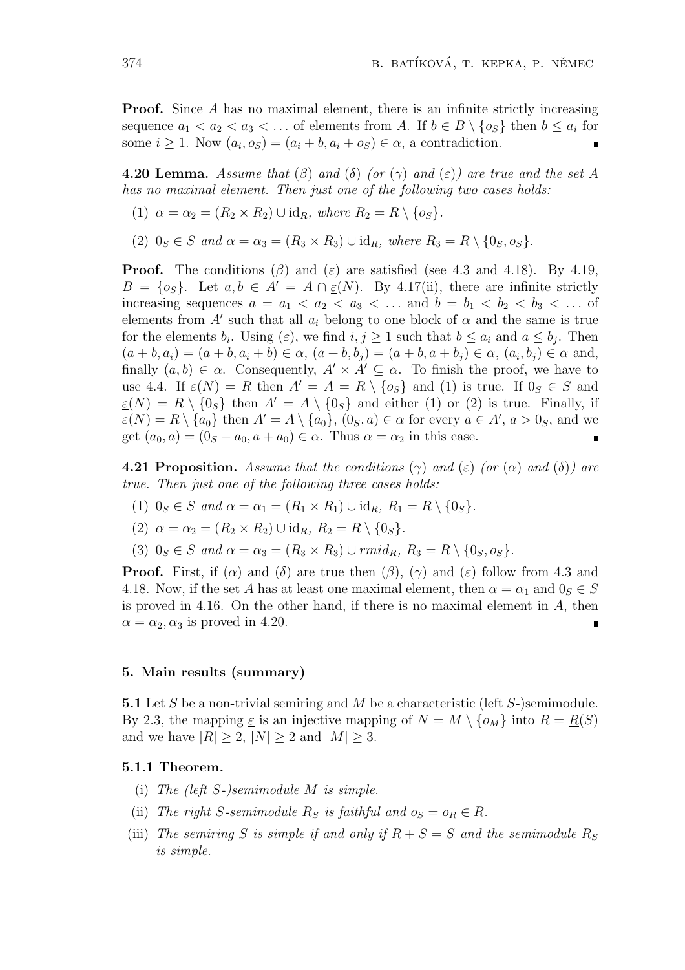**Proof.** Since A has no maximal element, there is an infinite strictly increasing sequence  $a_1 < a_2 < a_3 < \ldots$  of elements from *A*. If  $b \in B \setminus \{o_S\}$  then  $b \leq a_i$  for some  $i \geq 1$ . Now  $(a_i, o_S) = (a_i + b, a_i + o_S) \in \alpha$ , a contradiction.

**4.20 Lemma.** Assume that  $(\beta)$  and  $(\delta)$  (or  $(\gamma)$  and  $(\varepsilon)$ ) are true and the set A *has no maximal element. Then just one of the following two cases holds:*

- $(1)$   $\alpha = \alpha_2 = (R_2 \times R_2) \cup \text{id}_R$ *, where*  $R_2 = R \setminus \{o_S\}.$
- (2)  $0_S \in S$  *and*  $\alpha = \alpha_3 = (R_3 \times R_3) \cup \text{id}_R$ *, where*  $R_3 = R \setminus \{0_S, o_S\}$ *.*

**Proof.** The conditions  $(\beta)$  and  $(\epsilon)$  are satisfied (see 4.3 and 4.18). By 4.19,  $B = \{o_s\}$ . Let  $a, b \in A' = A \cap \varepsilon(N)$ . By 4.17(ii), there are infinite strictly increasing sequences  $a = a_1 < a_2 < a_3 < \ldots$  and  $b = b_1 < b_2 < b_3 < \ldots$  of elements from  $A'$  such that all  $a_i$  belong to one block of  $\alpha$  and the same is true for the elements  $b_i$ . Using  $(\varepsilon)$ , we find  $i, j \ge 1$  such that  $b \le a_i$  and  $a \le b_j$ . Then  $(a + b, a_i) = (a + b, a_i + b) \in \alpha$ ,  $(a + b, b_j) = (a + b, a + b_j) \in \alpha$ ,  $(a_i, b_j) \in \alpha$  and, finally  $(a, b) \in \alpha$ . Consequently,  $A' \times A' \subseteq \alpha$ . To finish the proof, we have to use 4.4. If  $\varepsilon(N) = R$  then  $A' = A = R \setminus \{o_S\}$  and (1) is true. If  $0_S \in S$  and  $\varepsilon(N) = R \setminus \{0_S\}$  then  $A' = A \setminus \{0_S\}$  and either (1) or (2) is true. Finally, if  $\underline{\varepsilon}(N) = R \setminus \{a_0\}$  then  $A' = A \setminus \{a_0\}$ ,  $(0_S, a) \in \alpha$  for every  $a \in A'$ ,  $a > 0_S$ , and we get  $(a_0, a) = (0_S + a_0, a + a_0) \in \alpha$ . Thus  $\alpha = \alpha_2$  in this case.

**4.21 Proposition.** Assume that the conditions  $(\gamma)$  and  $(\varepsilon)$  (or  $(\alpha)$  and  $(\delta)$ ) are *true. Then just one of the following three cases holds:*

- $(1)$   $0_S \in S$  *and*  $\alpha = \alpha_1 = (R_1 \times R_1) \cup \text{id}_R$ ,  $R_1 = R \setminus \{0_S\}.$
- $(2)$   $\alpha = \alpha_2 = (R_2 \times R_2) \cup \text{id}_R$ ,  $R_2 = R \setminus \{0_S\}.$
- $(3)$   $0_S \in S$  *and*  $\alpha = \alpha_3 = (R_3 \times R_3) \cup r m i d_R$ ,  $R_3 = R \setminus \{0_S, o_S\}$ .

**Proof.** First, if  $(\alpha)$  and  $(\delta)$  are true then  $(\beta)$ ,  $(\gamma)$  and  $(\varepsilon)$  follow from 4.3 and 4.18. Now, if the set *A* has at least one maximal element, then  $\alpha = \alpha_1$  and  $0_S \in S$ is proved in 4.16. On the other hand, if there is no maximal element in *A*, then  $\alpha = \alpha_2, \alpha_3$  is proved in 4.20.

# **5. Main results (summary)**

**5.1** Let *S* be a non-trivial semiring and *M* be a characteristic (left *S*-)semimodule. By 2.3, the mapping  $\underline{\varepsilon}$  is an injective mapping of  $N = M \setminus \{o_M\}$  into  $R = \underline{R}(S)$ and we have  $|R| \geq 2$ ,  $|N| \geq 2$  and  $|M| \geq 3$ .

## **5.1.1 Theorem.**

- (i) *The (left S-)semimodule M is simple.*
- (ii) *The right S*-semimodule  $R_S$  *is faithful and*  $o_S = o_R \in R$ *.*
- (iii) The semiring S is simple if and only if  $R + S = S$  and the semimodule  $R_S$ *is simple.*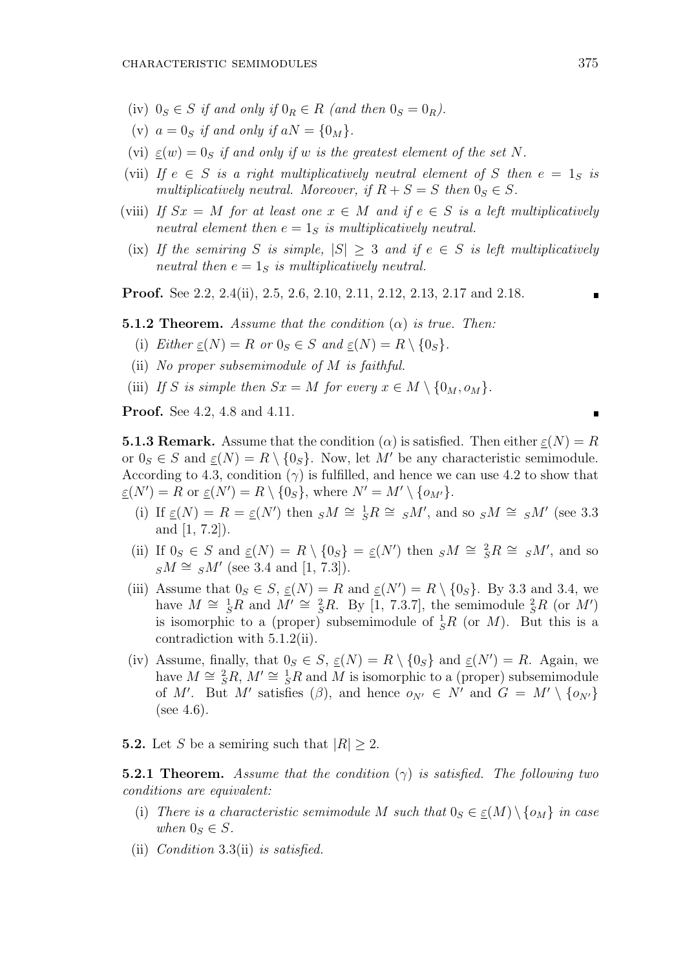- (iv)  $0_S \in S$  *if and only if*  $0_R \in R$  *(and then*  $0_S = 0_R$ *).*
- (v)  $a = 0$ <sup>*s*</sup> *if and only if*  $aN = \{0_M\}$ .
- (vi)  $\varepsilon(w) = 0$ *s if and only if w is the greatest element of the set N*.
- (vii) If  $e \in S$  *is a right multiplicatively neutral element of S then*  $e = 1_S$  *is multiplicatively neutral. Moreover, if*  $R + S = S$  *then*  $0_S \in S$ *.*
- (viii) If  $Sx = M$  for at least one  $x \in M$  and if  $e \in S$  is a left multiplicatively *neutral element then*  $e = 1_S$  *is multiplicatively neutral.*
- (ix) If the semiring *S* is simple,  $|S| \geq 3$  and if  $e \in S$  is left multiplicatively *neutral then*  $e = 1_S$  *is multiplicatively neutral.*

**Proof.** See 2.2, 2.4(ii), 2.5, 2.6, 2.10, 2.11, 2.12, 2.13, 2.17 and 2.18.

**5.1.2 Theorem.** *Assume that the condition* (*α*) *is true. Then:*

- (i) *Either*  $\underline{\varepsilon}(N) = R$  *or*  $0_S \in S$  *and*  $\underline{\varepsilon}(N) = R \setminus \{0_S\}.$
- (ii) *No proper subsemimodule of M is faithful.*
- (iii) *If S* is simple then  $Sx = M$  for every  $x \in M \setminus \{0_M, o_M\}$ .

**Proof.** See 4.2, 4.8 and 4.11.

**5.1.3 Remark.** Assume that the condition  $\alpha$  is satisfied. Then either  $\varepsilon(N) = R$ or  $0_S \in S$  and  $\underline{\varepsilon}(N) = R \setminus \{0_S\}$ . Now, let M' be any characteristic semimodule. According to 4.3, condition  $(\gamma)$  is fulfilled, and hence we can use 4.2 to show that  $\underline{\varepsilon}(N') = R$  or  $\underline{\varepsilon}(N') = R \setminus \{0_S\}$ , where  $N' = M' \setminus \{0_{M'}\}$ .

- (i) If  $\epsilon(N) = R = \epsilon(N')$  then  $sM \cong {}^1S R \cong sM'$ , and so  $sM \cong sM'$  (see 3.3) and [1, 7.2]).
- (ii) If  $0_S \in S$  and  $\underline{\varepsilon}(N) = R \setminus \{0_S\} = \underline{\varepsilon}(N')$  then  $sM \cong {}^2_S R \cong sM'$ , and so  $sM \cong sM'$  (see 3.4 and [1, 7.3]).
- (iii) Assume that  $0_S \in S$ ,  $\underline{\varepsilon}(N) = R$  and  $\underline{\varepsilon}(N') = R \setminus \{0_S\}$ . By 3.3 and 3.4, we have  $M \cong {}^1_S R$  and  $M' \cong {}^2_S R$ . By [1, 7.3.7], the semimodule  ${}^2_S R$  (or  $M'$ ) is isomorphic to a (proper) subsemimodule of  $\frac{1}{S}R$  (or *M*). But this is a contradiction with 5.1.2(ii).
- (iv) Assume, finally, that  $0_S \in S$ ,  $\underline{\varepsilon}(N) = R \setminus \{0_S\}$  and  $\underline{\varepsilon}(N') = R$ . Again, we have  $M \cong {}^2_S R$ ,  $M' \cong {}^1_S R$  and  $\overline{M}$  is isomorphic to a (proper) subsemimodule of *M'*. But *M'* satisfies  $(\beta)$ , and hence  $o_{N'} \in N'$  and  $G = M' \setminus \{o_{N'}\}$  $(see 4.6).$
- **5.2.** Let *S* be a semiring such that  $|R| \geq 2$ .

**5.2.1 Theorem.** *Assume that the condition* (*γ*) *is satisfied. The following two conditions are equivalent:*

- (i) *There is a characteristic semimodule M such that*  $0_S \in \underline{\epsilon}(M) \setminus \{o_M\}$  *in case when*  $0_S \in S$ *.*
- (ii) *Condition* 3.3(ii) *is satisfied.*